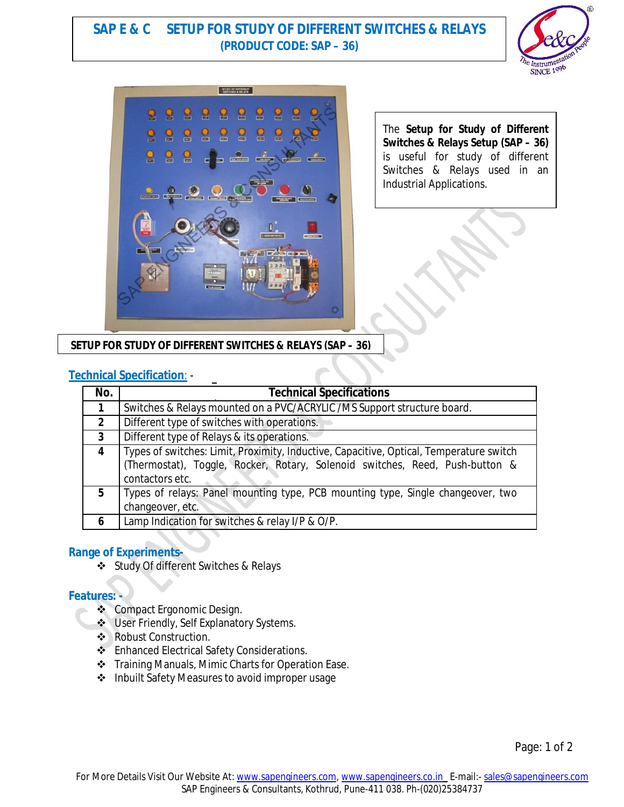# **SAP E & C SETUP FOR STUDY OF DIFFERENT SWITCHES & RELAYS (PRODUCT CODE: SAP – 36)**





The **Setup for Study of Different Switches & Relays Setup (SAP – 36)**  is useful for study of different Switches & Relays used in an Industrial Applications.

**SETUP FOR STUDY OF DIFFERENT SWITCHES & RELAYS (SAP – 36)**

## **Technical Specification**: -

| No.          | <b>Technical Specifications</b>                                                                                                                                                            |
|--------------|--------------------------------------------------------------------------------------------------------------------------------------------------------------------------------------------|
| 1            | Switches & Relays mounted on a PVC/ACRYLIC /MS Support structure board.                                                                                                                    |
| $\mathbf{2}$ | Different type of switches with operations.                                                                                                                                                |
| $\mathbf{3}$ | Different type of Relays & its operations.                                                                                                                                                 |
| 4            | Types of switches: Limit, Proximity, Inductive, Capacitive, Optical, Temperature switch<br>(Thermostat), Toggle, Rocker, Rotary, Solenoid switches, Reed, Push-button &<br>contactors etc. |
| 5            | Types of relays: Panel mounting type, PCB mounting type, Single changeover, two<br>changeover, etc.                                                                                        |
| 6            | Lamp Indication for switches & relay I/P & O/P.                                                                                                                                            |

#### **Range of Experiments-**

Study Of different Switches & Relays

#### **Features: -**

- ❖ Compact Ergonomic Design.
- User Friendly, Self Explanatory Systems.
- ❖ Robust Construction.
- ❖ Enhanced Electrical Safety Considerations.
- Training Manuals, Mimic Charts for Operation Ease.
- ❖ Inbuilt Safety Measures to avoid improper usage

Page: 1 of 2